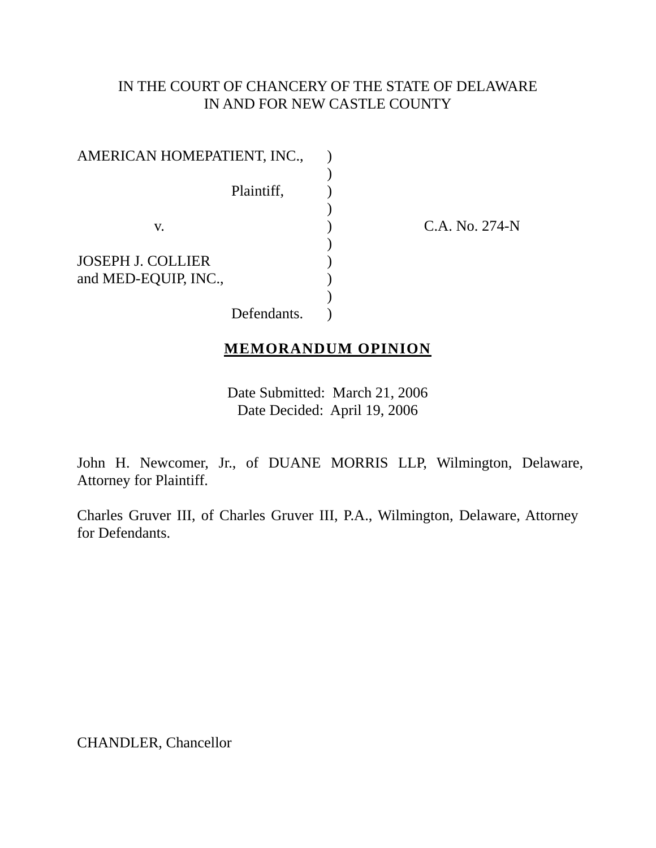# IN THE COURT OF CHANCERY OF THE STATE OF DELAWARE IN AND FOR NEW CASTLE COUNTY

| AMERICAN HOMEPATIENT, INC., |             |  |
|-----------------------------|-------------|--|
|                             |             |  |
|                             | Plaintiff,  |  |
|                             |             |  |
| V.                          |             |  |
|                             |             |  |
| <b>JOSEPH J. COLLIER</b>    |             |  |
| and MED-EQUIP, INC.,        |             |  |
|                             |             |  |
|                             | Defendants. |  |

C.A. No. 274-N

## **MEMORANDUM OPINION**

Date Submitted: March 21, 2006 Date Decided: April 19, 2006

John H. Newcomer, Jr., of DUANE MORRIS LLP, Wilmington, Delaware, Attorney for Plaintiff.

Charles Gruver III, of Charles Gruver III, P.A., Wilmington, Delaware, Attorney for Defendants.

CHANDLER, Chancellor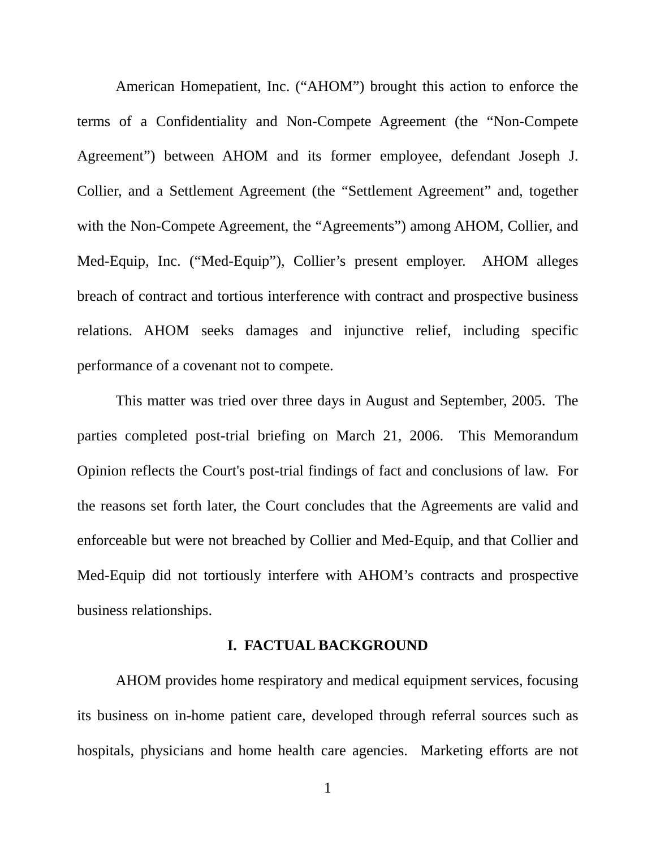American Homepatient, Inc. ("AHOM") brought this action to enforce the terms of a Confidentiality and Non-Compete Agreement (the "Non-Compete Agreement") between AHOM and its former employee, defendant Joseph J. Collier, and a Settlement Agreement (the "Settlement Agreement" and, together with the Non-Compete Agreement, the "Agreements") among AHOM, Collier, and Med-Equip, Inc. ("Med-Equip"), Collier's present employer. AHOM alleges breach of contract and tortious interference with contract and prospective business relations. AHOM seeks damages and injunctive relief, including specific performance of a covenant not to compete.

This matter was tried over three days in August and September, 2005. The parties completed post-trial briefing on March 21, 2006. This Memorandum Opinion reflects the Court's post-trial findings of fact and conclusions of law. For the reasons set forth later, the Court concludes that the Agreements are valid and enforceable but were not breached by Collier and Med-Equip, and that Collier and Med-Equip did not tortiously interfere with AHOM's contracts and prospective business relationships.

#### **I. FACTUAL BACKGROUND**

AHOM provides home respiratory and medical equipment services, focusing its business on in-home patient care, developed through referral sources such as hospitals, physicians and home health care agencies. Marketing efforts are not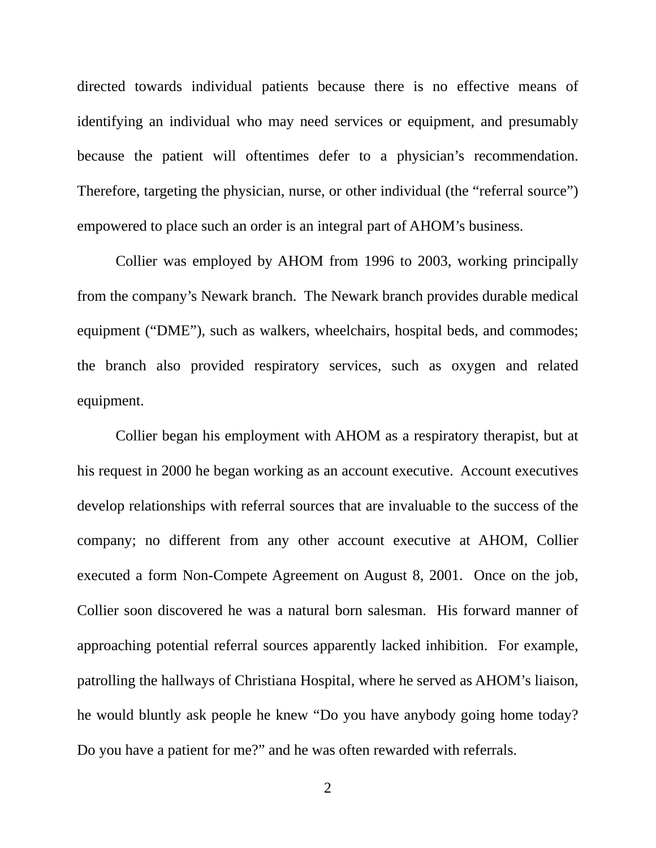directed towards individual patients because there is no effective means of identifying an individual who may need services or equipment, and presumably because the patient will oftentimes defer to a physician's recommendation. Therefore, targeting the physician, nurse, or other individual (the "referral source") empowered to place such an order is an integral part of AHOM's business.

Collier was employed by AHOM from 1996 to 2003, working principally from the company's Newark branch. The Newark branch provides durable medical equipment ("DME"), such as walkers, wheelchairs, hospital beds, and commodes; the branch also provided respiratory services, such as oxygen and related equipment.

Collier began his employment with AHOM as a respiratory therapist, but at his request in 2000 he began working as an account executive. Account executives develop relationships with referral sources that are invaluable to the success of the company; no different from any other account executive at AHOM, Collier executed a form Non-Compete Agreement on August 8, 2001. Once on the job, Collier soon discovered he was a natural born salesman. His forward manner of approaching potential referral sources apparently lacked inhibition. For example, patrolling the hallways of Christiana Hospital, where he served as AHOM's liaison, he would bluntly ask people he knew "Do you have anybody going home today? Do you have a patient for me?" and he was often rewarded with referrals.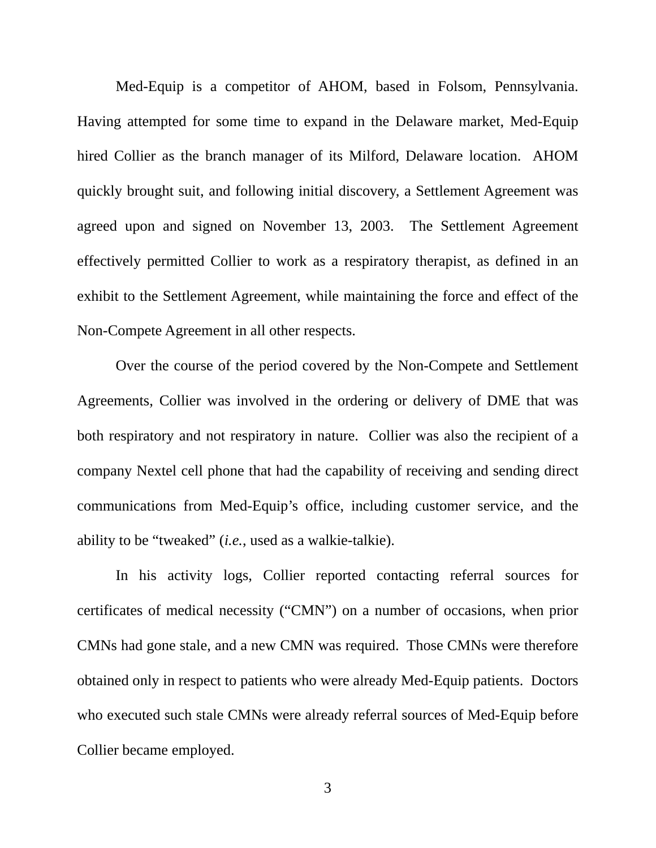Med-Equip is a competitor of AHOM, based in Folsom, Pennsylvania. Having attempted for some time to expand in the Delaware market, Med-Equip hired Collier as the branch manager of its Milford, Delaware location. AHOM quickly brought suit, and following initial discovery, a Settlement Agreement was agreed upon and signed on November 13, 2003. The Settlement Agreement effectively permitted Collier to work as a respiratory therapist, as defined in an exhibit to the Settlement Agreement, while maintaining the force and effect of the Non-Compete Agreement in all other respects.

Over the course of the period covered by the Non-Compete and Settlement Agreements, Collier was involved in the ordering or delivery of DME that was both respiratory and not respiratory in nature. Collier was also the recipient of a company Nextel cell phone that had the capability of receiving and sending direct communications from Med-Equip's office, including customer service, and the ability to be "tweaked" (*i.e.*, used as a walkie-talkie).

In his activity logs, Collier reported contacting referral sources for certificates of medical necessity ("CMN") on a number of occasions, when prior CMNs had gone stale, and a new CMN was required. Those CMNs were therefore obtained only in respect to patients who were already Med-Equip patients. Doctors who executed such stale CMNs were already referral sources of Med-Equip before Collier became employed.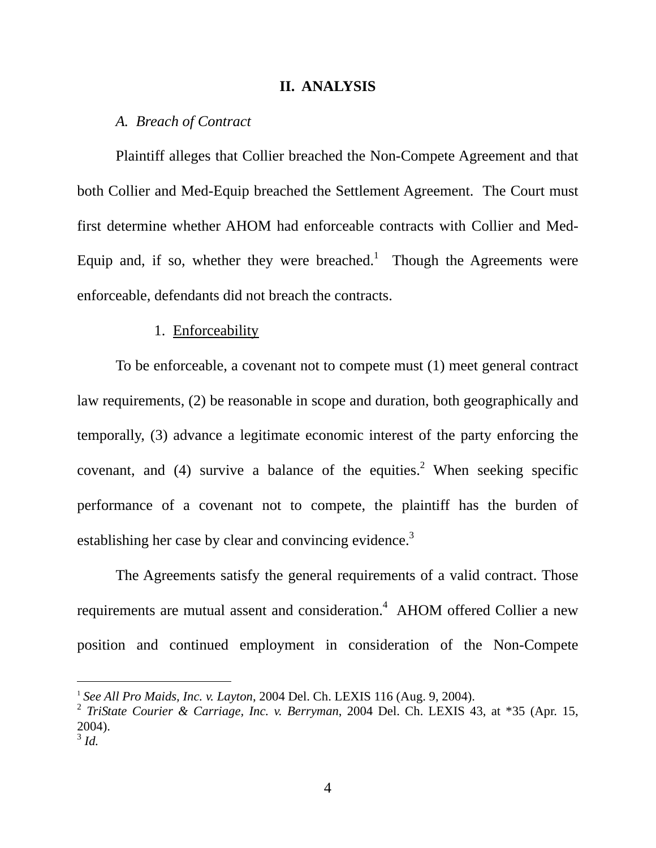### **II. ANALYSIS**

## *A. Breach of Contract*

Plaintiff alleges that Collier breached the Non-Compete Agreement and that both Collier and Med-Equip breached the Settlement Agreement. The Court must first determine whether AHOM had enforceable contracts with Collier and Med-Equip and, if so, whether they were breached.<sup>1</sup> Though the Agreements were enforceable, defendants did not breach the contracts.

### 1. Enforceability

To be enforceable, a covenant not to compete must (1) meet general contract law requirements, (2) be reasonable in scope and duration, both geographically and temporally, (3) advance a legitimate economic interest of the party enforcing the covenant, and  $(4)$  survive a balance of the equities.<sup>[2](#page-4-1)</sup> When seeking specific performance of a covenant not to compete, the plaintiff has the burden of establishing her case by clear and convincing evidence.<sup>3</sup>

The Agreements satisfy the general requirements of a valid contract. Those requirements are mutual assent and consideration.<sup>4</sup> AHOM offered Collier a new position and continued employment in consideration of the Non-Compete

<span id="page-4-3"></span><span id="page-4-0"></span> <sup>1</sup> *See All Pro Maids, Inc. v. Layton*, 2004 Del. Ch. LEXIS 116 (Aug. 9, 2004).

<span id="page-4-1"></span><sup>2</sup> *TriState Courier & Carriage, Inc. v. Berryman*, 2004 Del. Ch. LEXIS 43, at \*35 (Apr. 15, 2004).  $3 \dot{d}$ .

<span id="page-4-2"></span>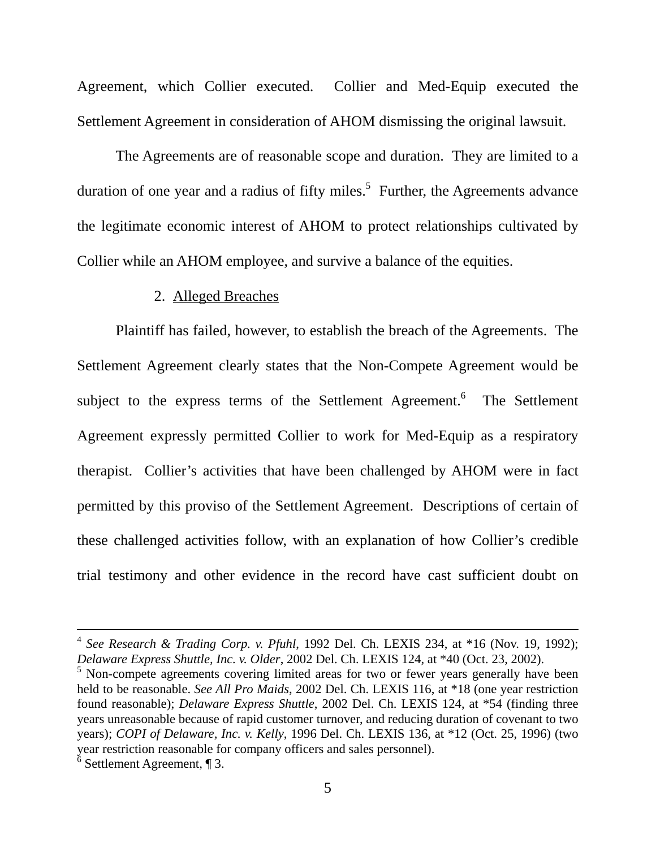Agreement, which Collier executed. Collier and Med-Equip executed the Settlement Agreement in consideration of AHOM dismissing the original lawsuit.

The Agreements are of reasonable scope and duration. They are limited to a duration of one year and a radius of fifty miles.<sup>5</sup> Further, the Agreements advance the legitimate economic interest of AHOM to protect relationships cultivated by Collier while an AHOM employee, and survive a balance of the equities.

### 2. Alleged Breaches

Plaintiff has failed, however, to establish the breach of the Agreements. The Settlement Agreement clearly states that the Non-Compete Agreement would be subject to the express terms of the Settlement Agreement.<sup>[6](#page-5-1)</sup> The Settlement Agreement expressly permitted Collier to work for Med-Equip as a respiratory therapist. Collier's activities that have been challenged by AHOM were in fact permitted by this proviso of the Settlement Agreement. Descriptions of certain of these challenged activities follow, with an explanation of how Collier's credible trial testimony and other evidence in the record have cast sufficient doubt on

 <sup>4</sup> *See Research & Trading Corp. v. Pfuhl*, 1992 Del. Ch. LEXIS 234, at \*16 (Nov. 19, 1992); *Delaware Express Shuttle, Inc. v. Older*, 2002 Del. Ch. LEXIS 124, at \*40 (Oct. 23, 2002).

<span id="page-5-0"></span><sup>&</sup>lt;sup>5</sup> Non-compete agreements covering limited areas for two or fewer years generally have been held to be reasonable. *See All Pro Maids*, 2002 Del. Ch. LEXIS 116, at \*18 (one year restriction found reasonable); *Delaware Express Shuttle*, 2002 Del. Ch. LEXIS 124, at \*54 (finding three years unreasonable because of rapid customer turnover, and reducing duration of covenant to two years); *COPI of Delaware, Inc. v. Kelly*, 1996 Del. Ch. LEXIS 136, at \*12 (Oct. 25, 1996) (two year restriction reasonable for company officers and sales personnel).<br>
<sup>6</sup> Settlement Agreement, ¶ 3.

<span id="page-5-1"></span>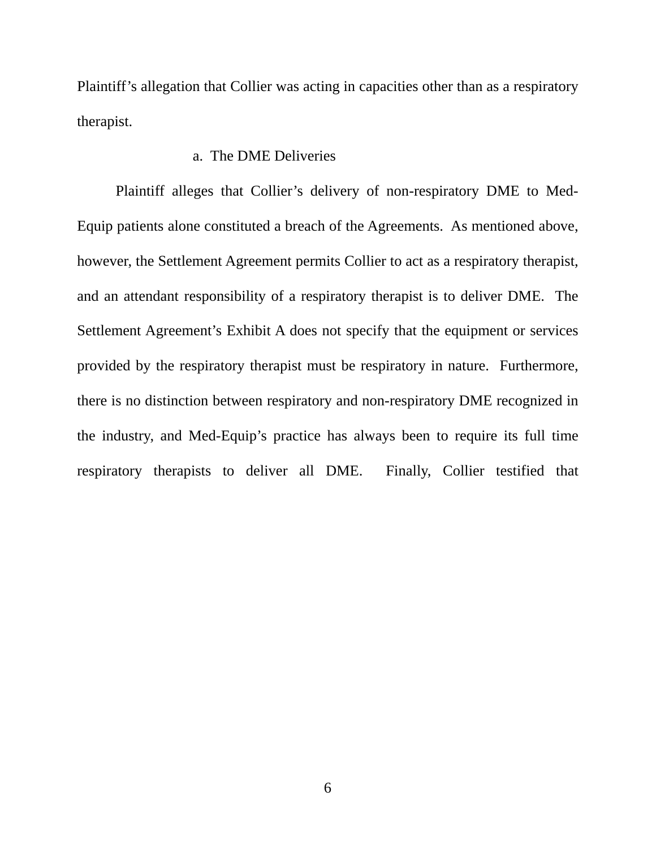Plaintiff's allegation that Collier was acting in capacities other than as a respiratory therapist.

### a. The DME Deliveries

Plaintiff alleges that Collier's delivery of non-respiratory DME to Med-Equip patients alone constituted a breach of the Agreements. As mentioned above, however, the Settlement Agreement permits Collier to act as a respiratory therapist, and an attendant responsibility of a respiratory therapist is to deliver DME. The Settlement Agreement's Exhibit A does not specify that the equipment or services provided by the respiratory therapist must be respiratory in nature. Furthermore, there is no distinction between respiratory and non-respiratory DME recognized in the industry, and Med-Equip's practice has always been to require its full time respiratory therapists to deliver all DME. Finally, Collier testified that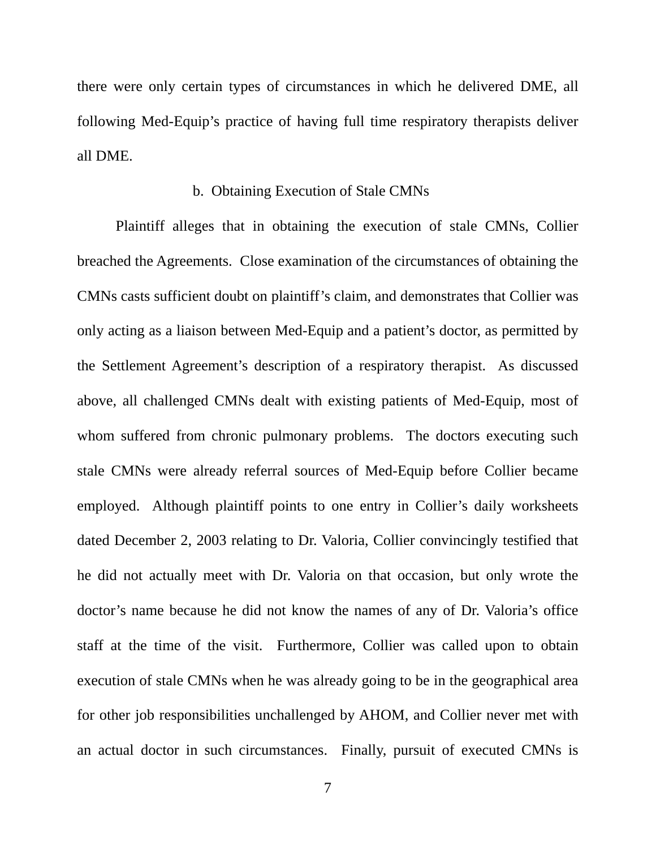there were only certain types of circumstances in which he delivered DME, all following Med-Equip's practice of having full time respiratory therapists deliver all DME.

## b. Obtaining Execution of Stale CMNs

Plaintiff alleges that in obtaining the execution of stale CMNs, Collier breached the Agreements. Close examination of the circumstances of obtaining the CMNs casts sufficient doubt on plaintiff's claim, and demonstrates that Collier was only acting as a liaison between Med-Equip and a patient's doctor, as permitted by the Settlement Agreement's description of a respiratory therapist. As discussed above, all challenged CMNs dealt with existing patients of Med-Equip, most of whom suffered from chronic pulmonary problems. The doctors executing such stale CMNs were already referral sources of Med-Equip before Collier became employed. Although plaintiff points to one entry in Collier's daily worksheets dated December 2, 2003 relating to Dr. Valoria, Collier convincingly testified that he did not actually meet with Dr. Valoria on that occasion, but only wrote the doctor's name because he did not know the names of any of Dr. Valoria's office staff at the time of the visit. Furthermore, Collier was called upon to obtain execution of stale CMNs when he was already going to be in the geographical area for other job responsibilities unchallenged by AHOM, and Collier never met with an actual doctor in such circumstances. Finally, pursuit of executed CMNs is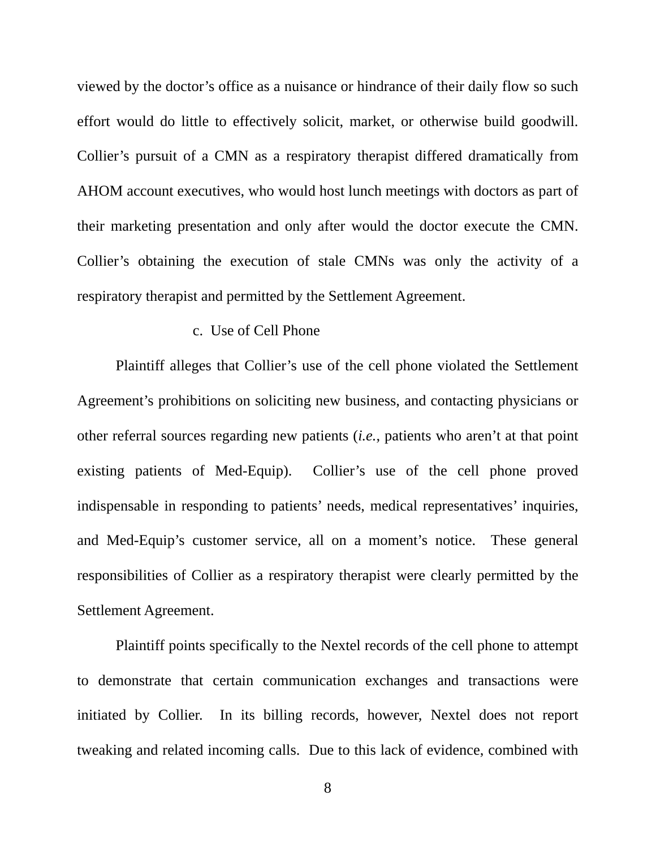viewed by the doctor's office as a nuisance or hindrance of their daily flow so such effort would do little to effectively solicit, market, or otherwise build goodwill. Collier's pursuit of a CMN as a respiratory therapist differed dramatically from AHOM account executives, who would host lunch meetings with doctors as part of their marketing presentation and only after would the doctor execute the CMN. Collier's obtaining the execution of stale CMNs was only the activity of a respiratory therapist and permitted by the Settlement Agreement.

#### c. Use of Cell Phone

Plaintiff alleges that Collier's use of the cell phone violated the Settlement Agreement's prohibitions on soliciting new business, and contacting physicians or other referral sources regarding new patients (*i.e.*, patients who aren't at that point existing patients of Med-Equip). Collier's use of the cell phone proved indispensable in responding to patients' needs, medical representatives' inquiries, and Med-Equip's customer service, all on a moment's notice. These general responsibilities of Collier as a respiratory therapist were clearly permitted by the Settlement Agreement.

Plaintiff points specifically to the Nextel records of the cell phone to attempt to demonstrate that certain communication exchanges and transactions were initiated by Collier. In its billing records, however, Nextel does not report tweaking and related incoming calls. Due to this lack of evidence, combined with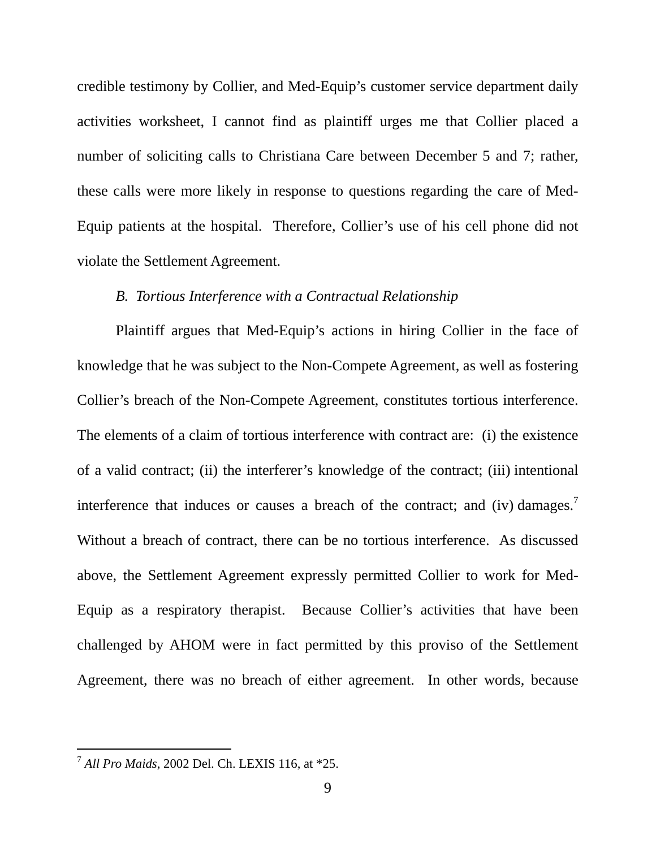credible testimony by Collier, and Med-Equip's customer service department daily activities worksheet, I cannot find as plaintiff urges me that Collier placed a number of soliciting calls to Christiana Care between December 5 and 7; rather, these calls were more likely in response to questions regarding the care of Med-Equip patients at the hospital. Therefore, Collier's use of his cell phone did not violate the Settlement Agreement.

### *B. Tortious Interference with a Contractual Relationship*

Plaintiff argues that Med-Equip's actions in hiring Collier in the face of knowledge that he was subject to the Non-Compete Agreement, as well as fostering Collier's breach of the Non-Compete Agreement, constitutes tortious interference. The elements of a claim of tortious interference with contract are: (i) the existence of a valid contract; (ii) the interferer's knowledge of the contract; (iii) intentional interference that induces or causes a breach of the contract; and (iv) damages.<sup>[7](#page-9-0)</sup> Without a breach of contract, there can be no tortious interference. As discussed above, the Settlement Agreement expressly permitted Collier to work for Med-Equip as a respiratory therapist. Because Collier's activities that have been challenged by AHOM were in fact permitted by this proviso of the Settlement Agreement, there was no breach of either agreement. In other words, because

<span id="page-9-0"></span> <sup>7</sup> *All Pro Maids*, 2002 Del. Ch. LEXIS 116, at \*25.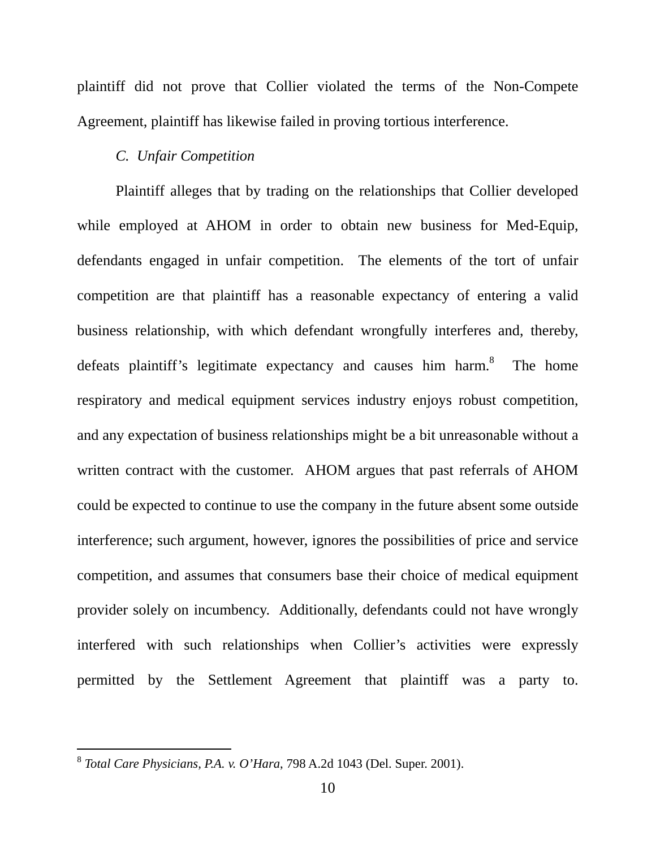plaintiff did not prove that Collier violated the terms of the Non-Compete Agreement, plaintiff has likewise failed in proving tortious interference.

# *C. Unfair Competition*

Plaintiff alleges that by trading on the relationships that Collier developed while employed at AHOM in order to obtain new business for Med-Equip, defendants engaged in unfair competition. The elements of the tort of unfair competition are that plaintiff has a reasonable expectancy of entering a valid business relationship, with which defendant wrongfully interferes and, thereby, defeats plaintiff's legitimate expectancy and causes him harm.<sup>[8](#page-10-0)</sup> The home respiratory and medical equipment services industry enjoys robust competition, and any expectation of business relationships might be a bit unreasonable without a written contract with the customer. AHOM argues that past referrals of AHOM could be expected to continue to use the company in the future absent some outside interference; such argument, however, ignores the possibilities of price and service competition, and assumes that consumers base their choice of medical equipment provider solely on incumbency. Additionally, defendants could not have wrongly interfered with such relationships when Collier's activities were expressly permitted by the Settlement Agreement that plaintiff was a party to.

<span id="page-10-0"></span> <sup>8</sup> *Total Care Physicians, P.A. v. O'Hara*, 798 A.2d 1043 (Del. Super. 2001).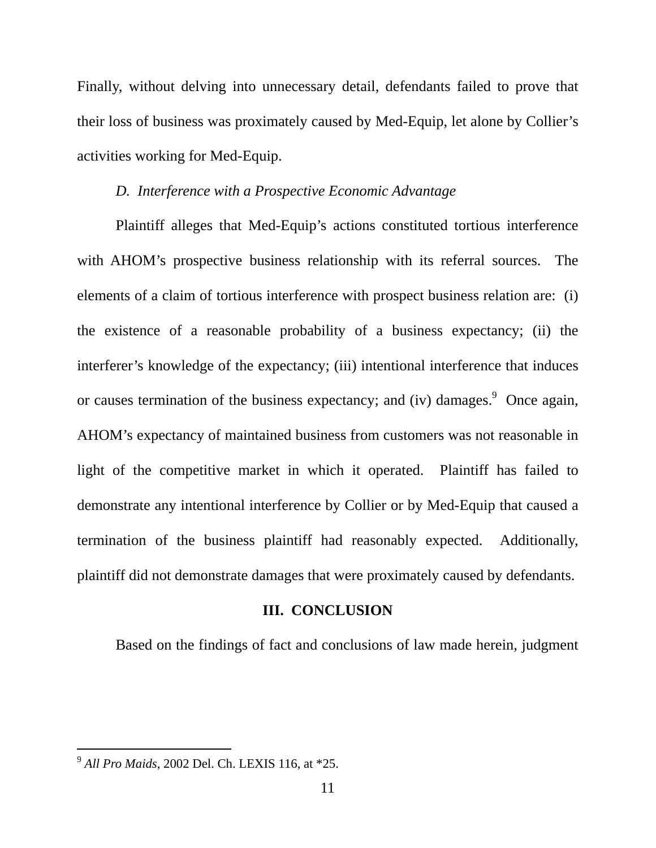Finally, without delving into unnecessary detail, defendants failed to prove that their loss of business was proximately caused by Med-Equip, let alone by Collier's activities working for Med-Equip.

# *D. Interference with a Prospective Economic Advantage*

Plaintiff alleges that Med-Equip's actions constituted tortious interference with AHOM's prospective business relationship with its referral sources. The elements of a claim of tortious interference with prospect business relation are: (i) the existence of a reasonable probability of a business expectancy; (ii) the interferer's knowledge of the expectancy; (iii) intentional interference that induces or causes termination of the business expectancy; and (iv) damages.  $9$  Once again, AHOM's expectancy of maintained business from customers was not reasonable in light of the competitive market in which it operated. Plaintiff has failed to demonstrate any intentional interference by Collier or by Med-Equip that caused a termination of the business plaintiff had reasonably expected. Additionally, plaintiff did not demonstrate damages that were proximately caused by defendants.

#### **III. CONCLUSION**

Based on the findings of fact and conclusions of law made herein, judgment

<span id="page-11-0"></span> <sup>9</sup> *All Pro Maids*, 2002 Del. Ch. LEXIS 116, at \*25.